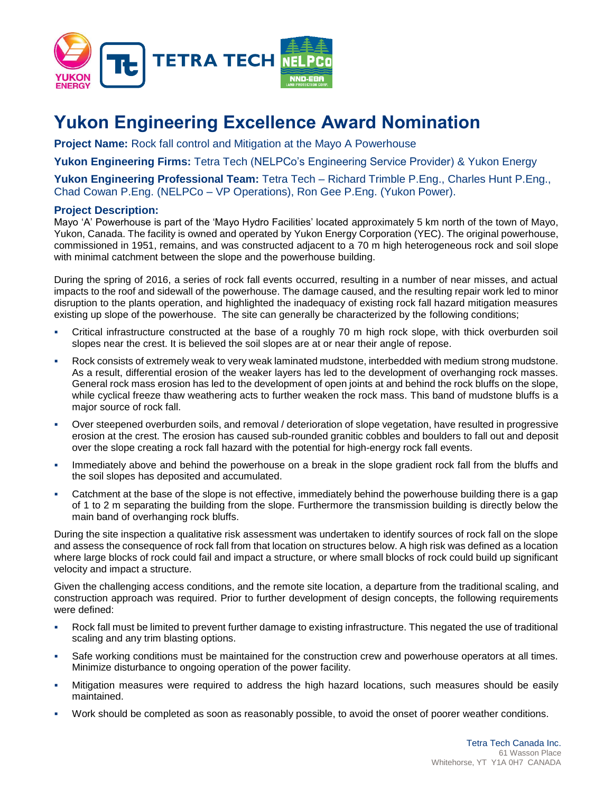

## **Yukon Engineering Excellence Award Nomination**

**Project Name:** Rock fall control and Mitigation at the Mayo A Powerhouse

**Yukon Engineering Firms:** Tetra Tech (NELPCo's Engineering Service Provider) & Yukon Energy

**Yukon Engineering Professional Team:** Tetra Tech – Richard Trimble P.Eng., Charles Hunt P.Eng., Chad Cowan P.Eng. (NELPCo – VP Operations), Ron Gee P.Eng. (Yukon Power).

## **Project Description:**

Mayo 'A' Powerhouse is part of the 'Mayo Hydro Facilities' located approximately 5 km north of the town of Mayo, Yukon, Canada. The facility is owned and operated by Yukon Energy Corporation (YEC). The original powerhouse, commissioned in 1951, remains, and was constructed adjacent to a 70 m high heterogeneous rock and soil slope with minimal catchment between the slope and the powerhouse building.

During the spring of 2016, a series of rock fall events occurred, resulting in a number of near misses, and actual impacts to the roof and sidewall of the powerhouse. The damage caused, and the resulting repair work led to minor disruption to the plants operation, and highlighted the inadequacy of existing rock fall hazard mitigation measures existing up slope of the powerhouse. The site can generally be characterized by the following conditions;

- Critical infrastructure constructed at the base of a roughly 70 m high rock slope, with thick overburden soil slopes near the crest. It is believed the soil slopes are at or near their angle of repose.
- Rock consists of extremely weak to very weak laminated mudstone, interbedded with medium strong mudstone. As a result, differential erosion of the weaker layers has led to the development of overhanging rock masses. General rock mass erosion has led to the development of open joints at and behind the rock bluffs on the slope, while cyclical freeze thaw weathering acts to further weaken the rock mass. This band of mudstone bluffs is a major source of rock fall.
- Over steepened overburden soils, and removal / deterioration of slope vegetation, have resulted in progressive erosion at the crest. The erosion has caused sub-rounded granitic cobbles and boulders to fall out and deposit over the slope creating a rock fall hazard with the potential for high-energy rock fall events.
- Immediately above and behind the powerhouse on a break in the slope gradient rock fall from the bluffs and the soil slopes has deposited and accumulated.
- Catchment at the base of the slope is not effective, immediately behind the powerhouse building there is a gap of 1 to 2 m separating the building from the slope. Furthermore the transmission building is directly below the main band of overhanging rock bluffs.

During the site inspection a qualitative risk assessment was undertaken to identify sources of rock fall on the slope and assess the consequence of rock fall from that location on structures below. A high risk was defined as a location where large blocks of rock could fail and impact a structure, or where small blocks of rock could build up significant velocity and impact a structure.

Given the challenging access conditions, and the remote site location, a departure from the traditional scaling, and construction approach was required. Prior to further development of design concepts, the following requirements were defined:

- Rock fall must be limited to prevent further damage to existing infrastructure. This negated the use of traditional scaling and any trim blasting options.
- Safe working conditions must be maintained for the construction crew and powerhouse operators at all times. Minimize disturbance to ongoing operation of the power facility.
- Mitigation measures were required to address the high hazard locations, such measures should be easily maintained.
- Work should be completed as soon as reasonably possible, to avoid the onset of poorer weather conditions.